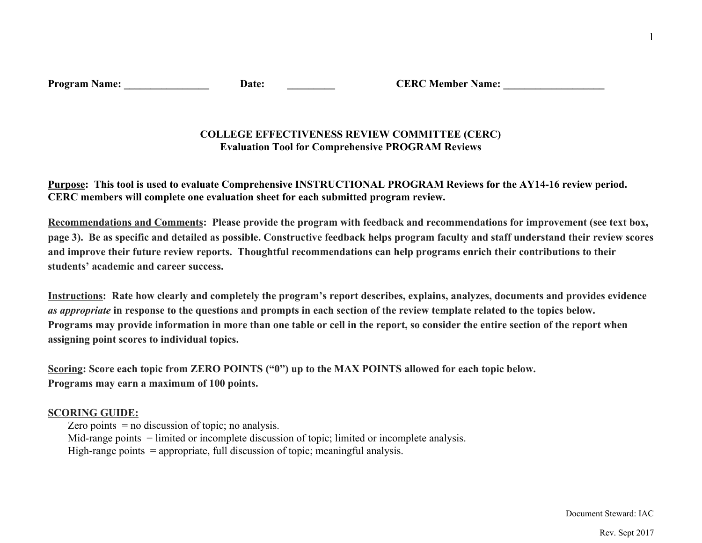| <b>Program Name:</b> |  |
|----------------------|--|
|                      |  |

**Pate: CERC Member Name:** 

## **COLLEGE EFFECTIVENESS REVIEW COMMITTEE (CERC) Evaluation Tool for Comprehensive PROGRAM Reviews**

Purpose: This tool is used to evaluate Comprehensive INSTRUCTIONAL PROGRAM Reviews for the AY14-16 review period. **CERC members will complete one evaluation sheet for each submitted program review.**

Recommendations and Comments: Please provide the program with feedback and recommendations for improvement (see text box, page 3). Be as specific and detailed as possible. Constructive feedback helps program faculty and staff understand their review scores and improve their future review reports. Thoughtful recommendations can help programs enrich their contributions to their **students' academic and career success.**

Instructions: Rate how clearly and completely the program's report describes, explains, analyzes, documents and provides evidence *as appropriate* in response to the questions and prompts in each section of the review template related to the topics below. Programs may provide information in more than one table or cell in the report, so consider the entire section of the report when **assigning point scores to individual topics.**

Scoring: Score each topic from ZERO POINTS ("0") up to the MAX POINTS allowed for each topic below. **Programs may earn a maximum of 100 points.**

## **SCORING GUIDE:**

Zero points  $=$  no discussion of topic; no analysis.

Mid-range points = limited or incomplete discussion of topic; limited or incomplete analysis.

High-range points  $=$  appropriate, full discussion of topic; meaningful analysis.

Document Steward: IAC

Rev. Sept 2017

1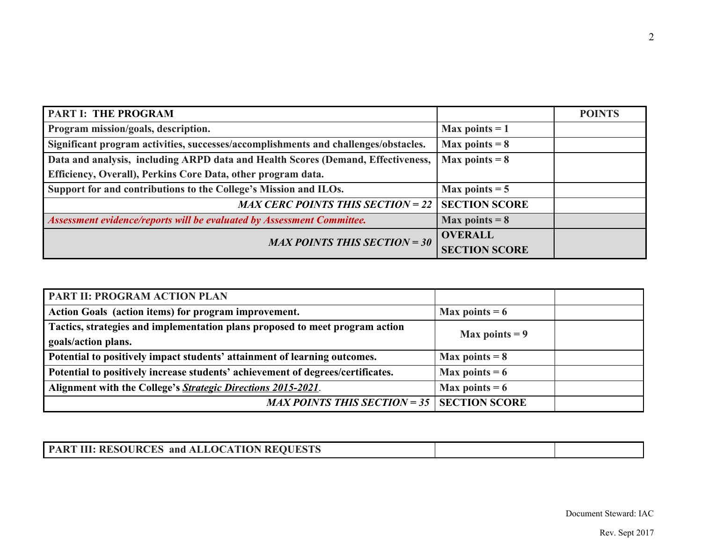| <b>PART I: THE PROGRAM</b>                                                          |                      | <b>POINTS</b> |
|-------------------------------------------------------------------------------------|----------------------|---------------|
| Program mission/goals, description.                                                 | Max points $= 1$     |               |
| Significant program activities, successes/accomplishments and challenges/obstacles. | Max points $= 8$     |               |
| Data and analysis, including ARPD data and Health Scores (Demand, Effectiveness,    | Max points $= 8$     |               |
| <b>Efficiency, Overall), Perkins Core Data, other program data.</b>                 |                      |               |
| Support for and contributions to the College's Mission and ILOs.                    | Max points $= 5$     |               |
| MAX CERC POINTS THIS SECTION = 22   SECTION SCORE                                   |                      |               |
| Assessment evidence/reports will be evaluated by Assessment Committee.              | Max points $= 8$     |               |
| <b>MAX POINTS THIS SECTION = 30</b>                                                 | <b>OVERALL</b>       |               |
|                                                                                     | <b>SECTION SCORE</b> |               |

| <b>PART II: PROGRAM ACTION PLAN</b>                                             |                  |  |
|---------------------------------------------------------------------------------|------------------|--|
| Action Goals (action items) for program improvement.                            | Max points $= 6$ |  |
| Tactics, strategies and implementation plans proposed to meet program action    | Max points $= 9$ |  |
| goals/action plans.                                                             |                  |  |
| Potential to positively impact students' attainment of learning outcomes.       | Max points $= 8$ |  |
| Potential to positively increase students' achievement of degrees/certificates. | Max points $= 6$ |  |
| Alignment with the College's Strategic Directions 2015-2021.                    | Max points $= 6$ |  |
| MAX POINTS THIS SECTION = 35   SECTION SCORE                                    |                  |  |

| <b>PART III: RESOURCES and ALLOCATION REQUESTS</b> |  |
|----------------------------------------------------|--|
|                                                    |  |

Document Steward: IAC

Rev. Sept 2017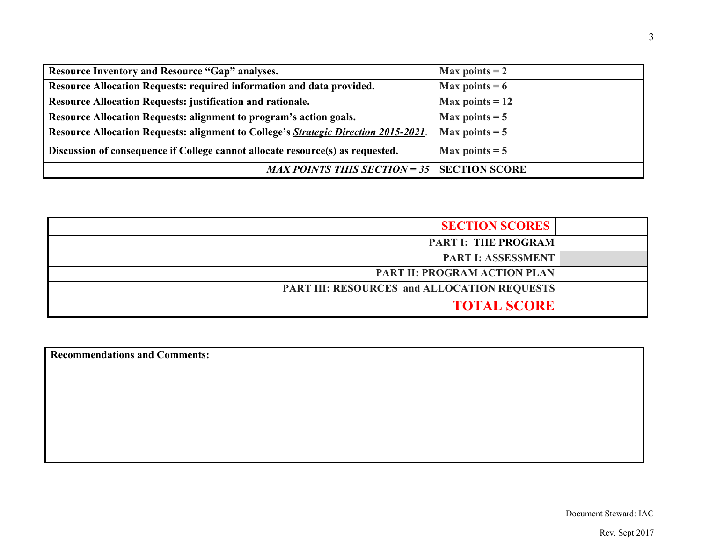| Resource Inventory and Resource "Gap" analyses.                                             | Max points $= 2$  |
|---------------------------------------------------------------------------------------------|-------------------|
| Resource Allocation Requests: required information and data provided.                       | Max points $= 6$  |
| Resource Allocation Requests: justification and rationale.                                  | Max points $= 12$ |
| Resource Allocation Requests: alignment to program's action goals.                          | Max points $= 5$  |
| Resource Allocation Requests: alignment to College's <i>Strategic Direction 2015-2021</i> . | Max points $= 5$  |
| Discussion of consequence if College cannot allocate resource(s) as requested.              | Max points $= 5$  |
| MAX POINTS THIS SECTION = 35   SECTION SCORE                                                |                   |

| <b>SECTION SCORES</b>                              |  |
|----------------------------------------------------|--|
| <b>PART I: THE PROGRAM</b>                         |  |
| <b>PART I: ASSESSMENT</b>                          |  |
| <b>PART II: PROGRAM ACTION PLAN</b>                |  |
| <b>PART III: RESOURCES and ALLOCATION REQUESTS</b> |  |
| <b>TOTAL SCORE</b>                                 |  |

**Recommendations and Comments:**

Document Steward: IAC

Rev. Sept 2017